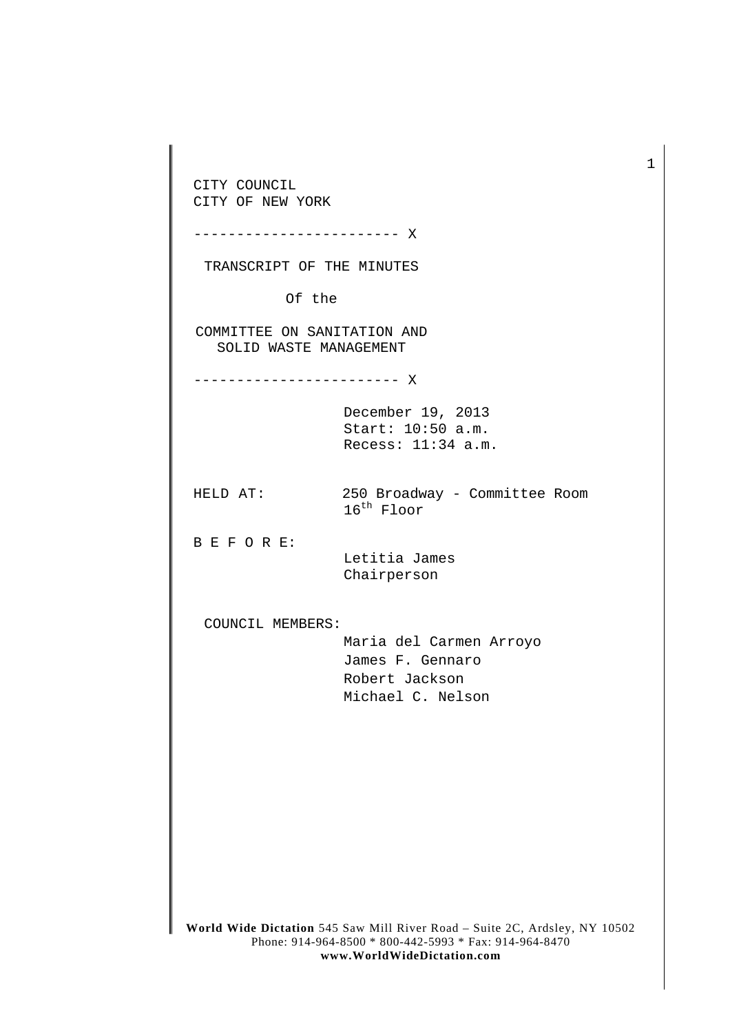CITY COUNCIL CITY OF NEW YORK ------------------------ X TRANSCRIPT OF THE MINUTES Of the COMMITTEE ON SANITATION AND SOLID WASTE MANAGEMENT ------------------------ X December 19, 2013 Start: 10:50 a.m. Recess: 11:34 a.m. HELD AT: 250 Broadway - Committee Room 16<sup>th</sup> Floor B E F O R E: Letitia James Chairperson COUNCIL MEMBERS: Maria del Carmen Arroyo James F. Gennaro Robert Jackson Michael C. Nelson

1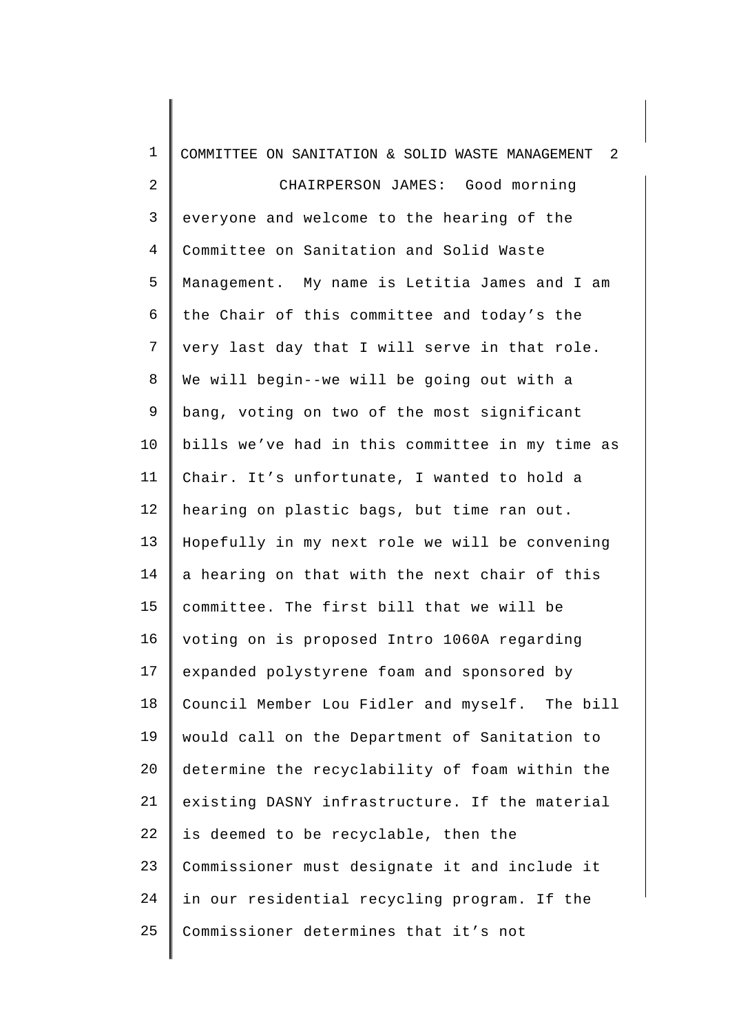| $\mathbf{1}$   | $\overline{2}$<br>COMMITTEE ON SANITATION & SOLID WASTE MANAGEMENT |
|----------------|--------------------------------------------------------------------|
| $\overline{2}$ | CHAIRPERSON JAMES: Good morning                                    |
| 3              | everyone and welcome to the hearing of the                         |
| $\overline{4}$ | Committee on Sanitation and Solid Waste                            |
| 5              | Management. My name is Letitia James and I am                      |
| 6              | the Chair of this committee and today's the                        |
| 7              | very last day that I will serve in that role.                      |
| 8              | We will begin--we will be going out with a                         |
| 9              | bang, voting on two of the most significant                        |
| 10             | bills we've had in this committee in my time as                    |
| 11             | Chair. It's unfortunate, I wanted to hold a                        |
| 12             | hearing on plastic bags, but time ran out.                         |
| 13             | Hopefully in my next role we will be convening                     |
| 14             | a hearing on that with the next chair of this                      |
| 15             | committee. The first bill that we will be                          |
| 16             | voting on is proposed Intro 1060A regarding                        |
| 17             | expanded polystyrene foam and sponsored by                         |
| 18             | Council Member Lou Fidler and myself. The bill                     |
| 19             | would call on the Department of Sanitation to                      |
| 20             | determine the recyclability of foam within the                     |
| 21             | existing DASNY infrastructure. If the material                     |
| 22             | is deemed to be recyclable, then the                               |
| 23             | Commissioner must designate it and include it                      |
| 24             | in our residential recycling program. If the                       |
| 25             | Commissioner determines that it's not                              |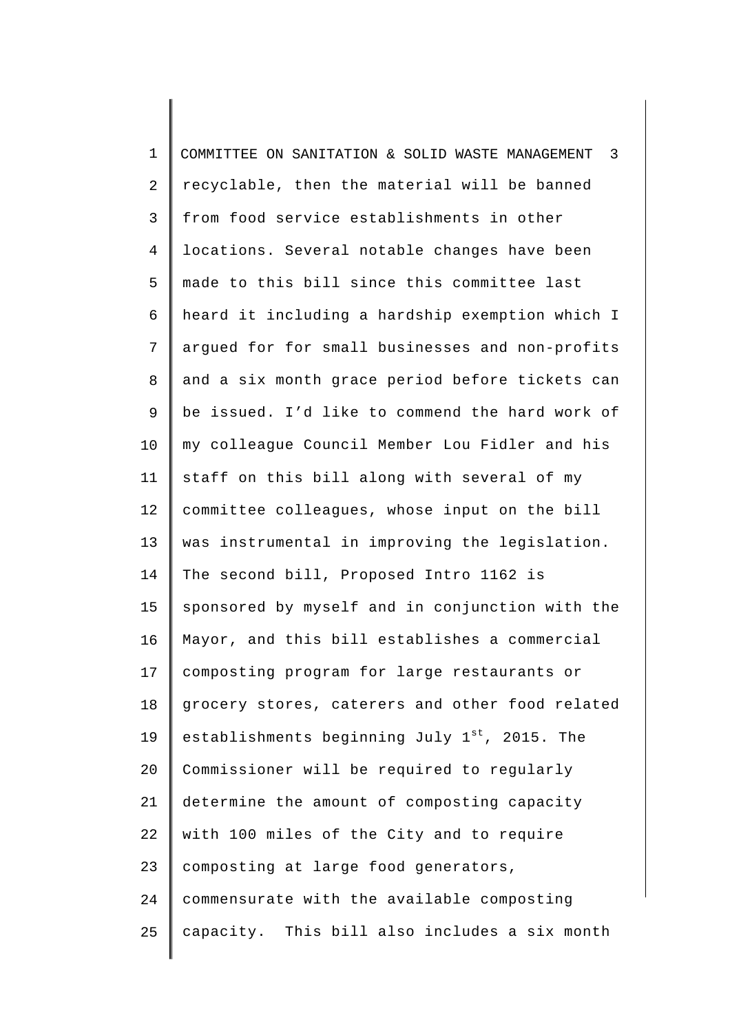| $\mathbf 1$    | $\overline{\mathbf{3}}$<br>COMMITTEE ON SANITATION & SOLID WASTE MANAGEMENT |
|----------------|-----------------------------------------------------------------------------|
| $\overline{2}$ | recyclable, then the material will be banned                                |
| 3              | from food service establishments in other                                   |
| $\overline{4}$ | locations. Several notable changes have been                                |
| 5              | made to this bill since this committee last                                 |
| 6              | heard it including a hardship exemption which I                             |
| $\overline{7}$ | argued for for small businesses and non-profits                             |
| 8              | and a six month grace period before tickets can                             |
| 9              | be issued. I'd like to commend the hard work of                             |
| 10             | my colleague Council Member Lou Fidler and his                              |
| 11             | staff on this bill along with several of my                                 |
| 12             | committee colleagues, whose input on the bill                               |
| 13             | was instrumental in improving the legislation.                              |
| 14             | The second bill, Proposed Intro 1162 is                                     |
| 15             | sponsored by myself and in conjunction with the                             |
| 16             | Mayor, and this bill establishes a commercial                               |
| 17             | composting program for large restaurants or                                 |
| 18             | grocery stores, caterers and other food related                             |
| 19             | establishments beginning July 1 <sup>st</sup> , 2015. The                   |
| 20             | Commissioner will be required to regularly                                  |
| 21             | determine the amount of composting capacity                                 |
| 22             | with 100 miles of the City and to require                                   |
| 23             | composting at large food generators,                                        |
| 24             | commensurate with the available composting                                  |
| 25             | capacity. This bill also includes a six month                               |
|                |                                                                             |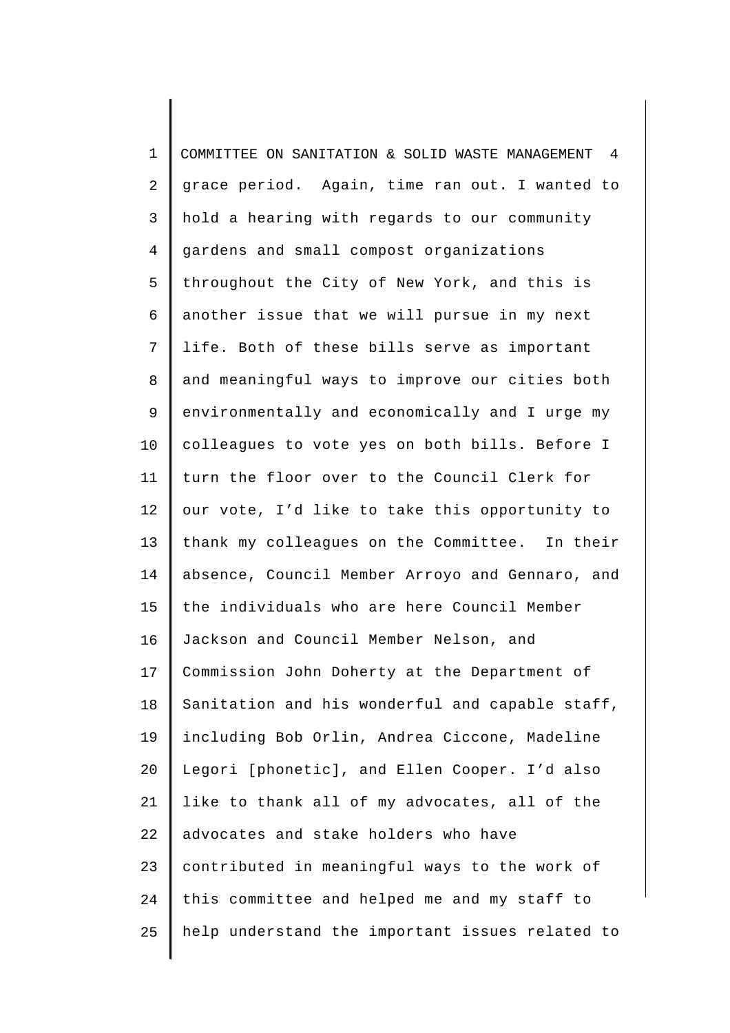| $\mathbf{1}$ | COMMITTEE ON SANITATION & SOLID WASTE MANAGEMENT 4 |
|--------------|----------------------------------------------------|
| 2            | grace period. Again, time ran out. I wanted to     |
| 3            | hold a hearing with regards to our community       |
| 4            | gardens and small compost organizations            |
| 5            | throughout the City of New York, and this is       |
| 6            | another issue that we will pursue in my next       |
| 7            | life. Both of these bills serve as important       |
| 8            | and meaningful ways to improve our cities both     |
| $\mathsf 9$  | environmentally and economically and I urge my     |
| 10           | colleagues to vote yes on both bills. Before I     |
| 11           | turn the floor over to the Council Clerk for       |
| 12           | our vote, I'd like to take this opportunity to     |
| 13           | thank my colleagues on the Committee. In their     |
| 14           | absence, Council Member Arroyo and Gennaro, and    |
| 15           | the individuals who are here Council Member        |
| 16           | Jackson and Council Member Nelson, and             |
| 17           | Commission John Doherty at the Department of       |
| 18           | Sanitation and his wonderful and capable staff,    |
| 19           | including Bob Orlin, Andrea Ciccone, Madeline      |
| 20           | Legori [phonetic], and Ellen Cooper. I'd also      |
| 21           | like to thank all of my advocates, all of the      |
| 22           | advocates and stake holders who have               |
| 23           | contributed in meaningful ways to the work of      |
| 24           | this committee and helped me and my staff to       |
| 25           | help understand the important issues related to    |
|              |                                                    |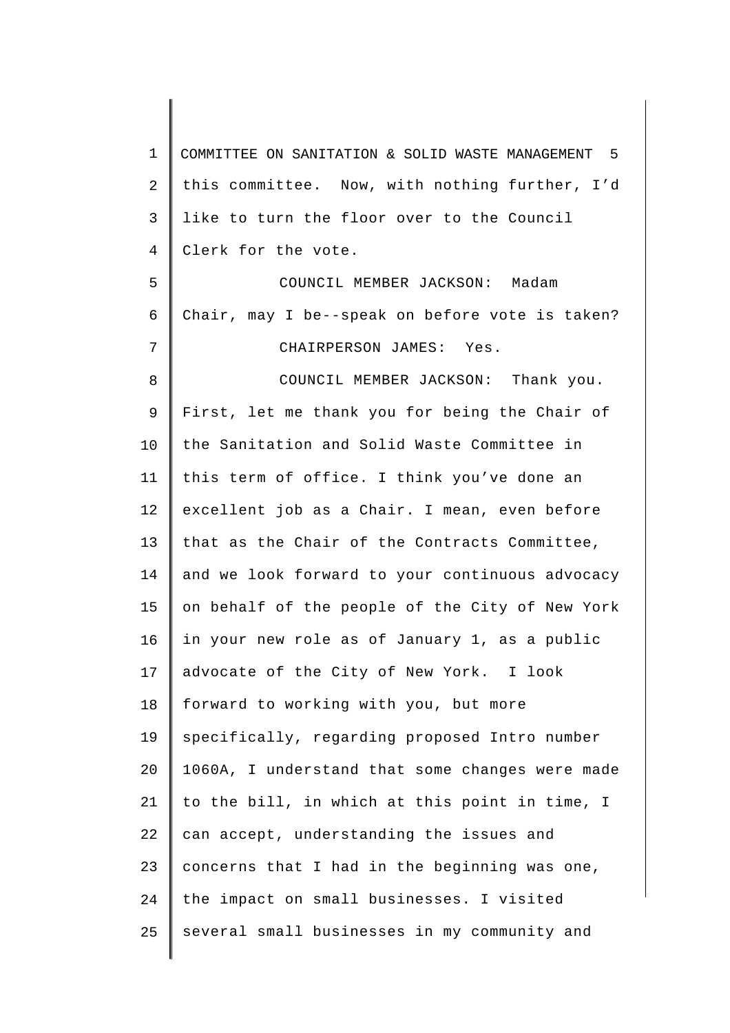1 2 3 4 5 6 7 8 9 10 11 12 13 14 15 16 17 18 19 20 21 22 23 24 25 COMMITTEE ON SANITATION & SOLID WASTE MANAGEMENT 5 this committee. Now, with nothing further, I'd like to turn the floor over to the Council Clerk for the vote. COUNCIL MEMBER JACKSON: Madam Chair, may I be--speak on before vote is taken? CHAIRPERSON JAMES: Yes. COUNCIL MEMBER JACKSON: Thank you. First, let me thank you for being the Chair of the Sanitation and Solid Waste Committee in this term of office. I think you've done an excellent job as a Chair. I mean, even before that as the Chair of the Contracts Committee, and we look forward to your continuous advocacy on behalf of the people of the City of New York in your new role as of January 1, as a public advocate of the City of New York. I look forward to working with you, but more specifically, regarding proposed Intro number 1060A, I understand that some changes were made to the bill, in which at this point in time, I can accept, understanding the issues and concerns that I had in the beginning was one, the impact on small businesses. I visited several small businesses in my community and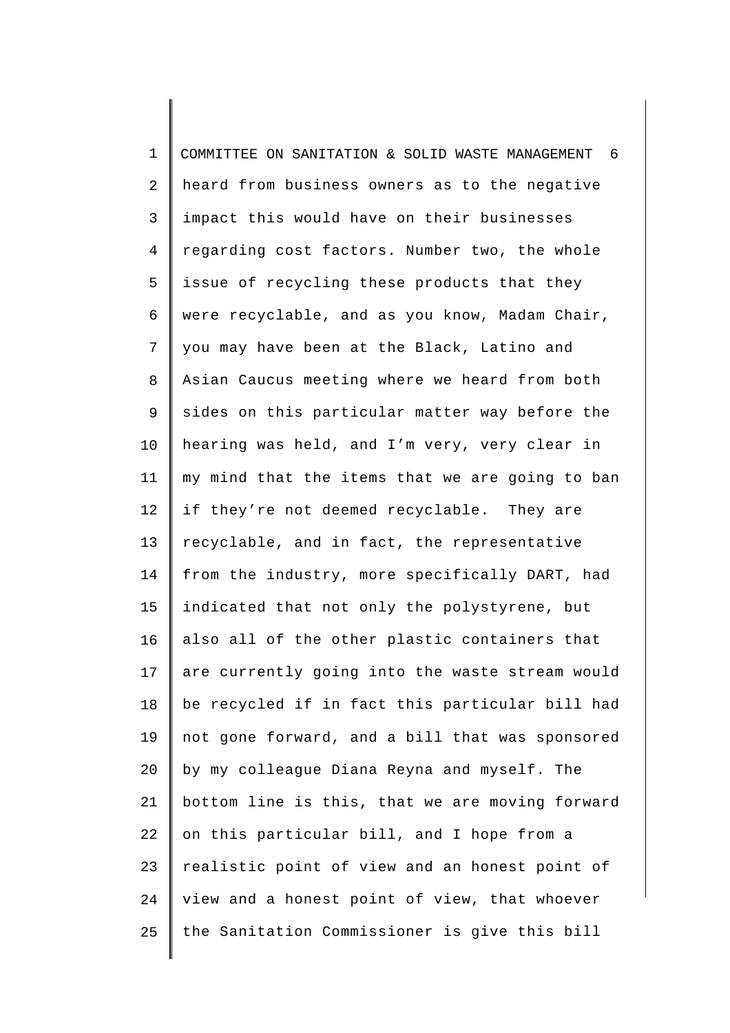1 2 3 4 5 6 7 8 9 10 11 12 13 14 15 16 17 18 19 20 21 22 23 24 25 COMMITTEE ON SANITATION & SOLID WASTE MANAGEMENT 6 heard from business owners as to the negative impact this would have on their businesses regarding cost factors. Number two, the whole issue of recycling these products that they were recyclable, and as you know, Madam Chair, you may have been at the Black, Latino and Asian Caucus meeting where we heard from both sides on this particular matter way before the hearing was held, and I'm very, very clear in my mind that the items that we are going to ban if they're not deemed recyclable. They are recyclable, and in fact, the representative from the industry, more specifically DART, had indicated that not only the polystyrene, but also all of the other plastic containers that are currently going into the waste stream would be recycled if in fact this particular bill had not gone forward, and a bill that was sponsored by my colleague Diana Reyna and myself. The bottom line is this, that we are moving forward on this particular bill, and I hope from a realistic point of view and an honest point of view and a honest point of view, that whoever the Sanitation Commissioner is give this bill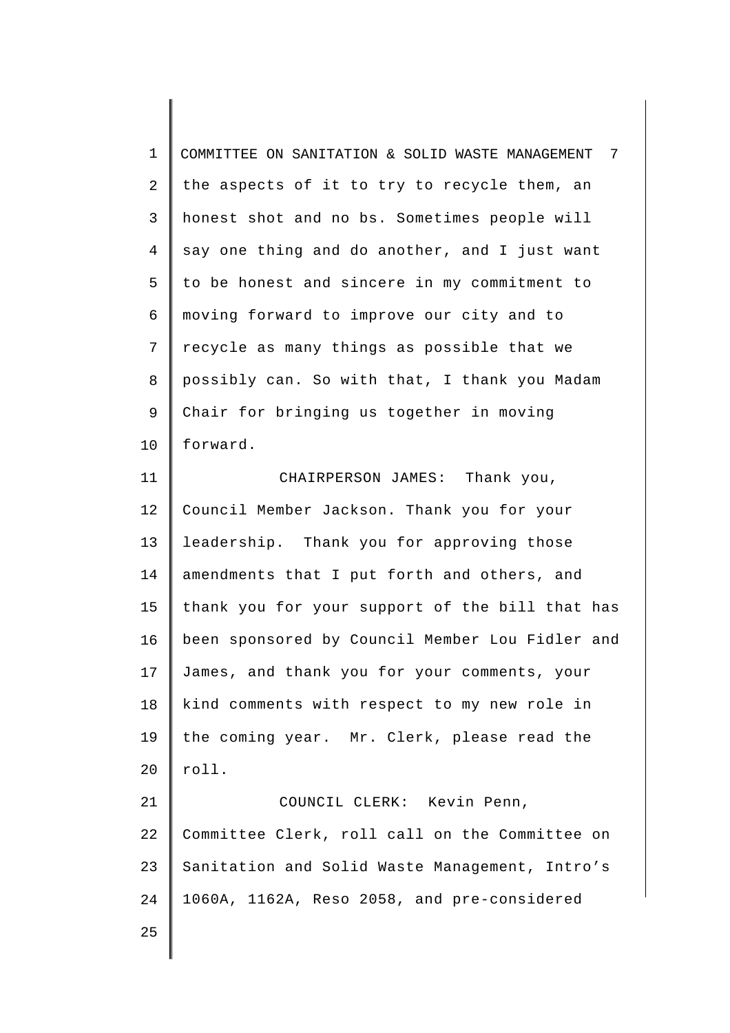1 2 3 4 5 6 7 8 9 10 COMMITTEE ON SANITATION & SOLID WASTE MANAGEMENT 7 the aspects of it to try to recycle them, an honest shot and no bs. Sometimes people will say one thing and do another, and I just want to be honest and sincere in my commitment to moving forward to improve our city and to recycle as many things as possible that we possibly can. So with that, I thank you Madam Chair for bringing us together in moving forward.

11 12 13 14 15 16 17 18 19 20 21 22 23 24 CHAIRPERSON JAMES: Thank you, Council Member Jackson. Thank you for your leadership. Thank you for approving those amendments that I put forth and others, and thank you for your support of the bill that has been sponsored by Council Member Lou Fidler and James, and thank you for your comments, your kind comments with respect to my new role in the coming year. Mr. Clerk, please read the roll. COUNCIL CLERK: Kevin Penn, Committee Clerk, roll call on the Committee on Sanitation and Solid Waste Management, Intro's 1060A, 1162A, Reso 2058, and pre-considered

25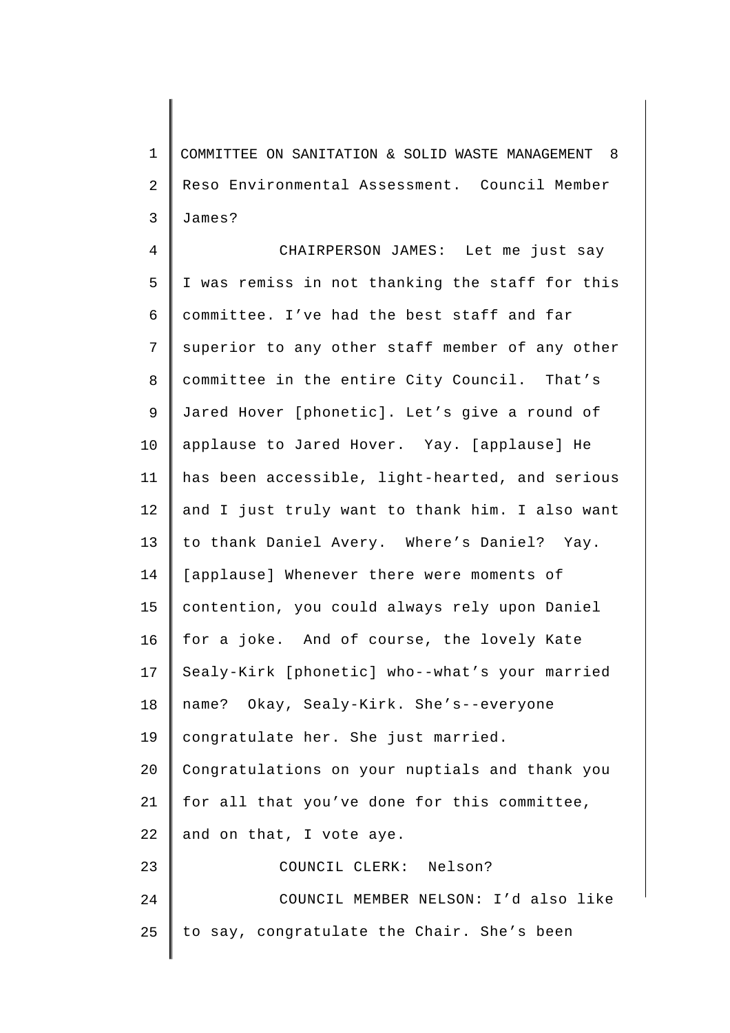1 2 3 COMMITTEE ON SANITATION & SOLID WASTE MANAGEMENT 8 Reso Environmental Assessment. Council Member James?

4 5 6 7 8 9 10 11 12 13 14 15 16 17 18 19 20 21 22 23 24 25 CHAIRPERSON JAMES: Let me just say I was remiss in not thanking the staff for this committee. I've had the best staff and far superior to any other staff member of any other committee in the entire City Council. That's Jared Hover [phonetic]. Let's give a round of applause to Jared Hover. Yay. [applause] He has been accessible, light-hearted, and serious and I just truly want to thank him. I also want to thank Daniel Avery. Where's Daniel? Yay. [applause] Whenever there were moments of contention, you could always rely upon Daniel for a joke. And of course, the lovely Kate Sealy-Kirk [phonetic] who--what's your married name? Okay, Sealy-Kirk. She's--everyone congratulate her. She just married. Congratulations on your nuptials and thank you for all that you've done for this committee, and on that, I vote aye. COUNCIL CLERK: Nelson? COUNCIL MEMBER NELSON: I'd also like to say, congratulate the Chair. She's been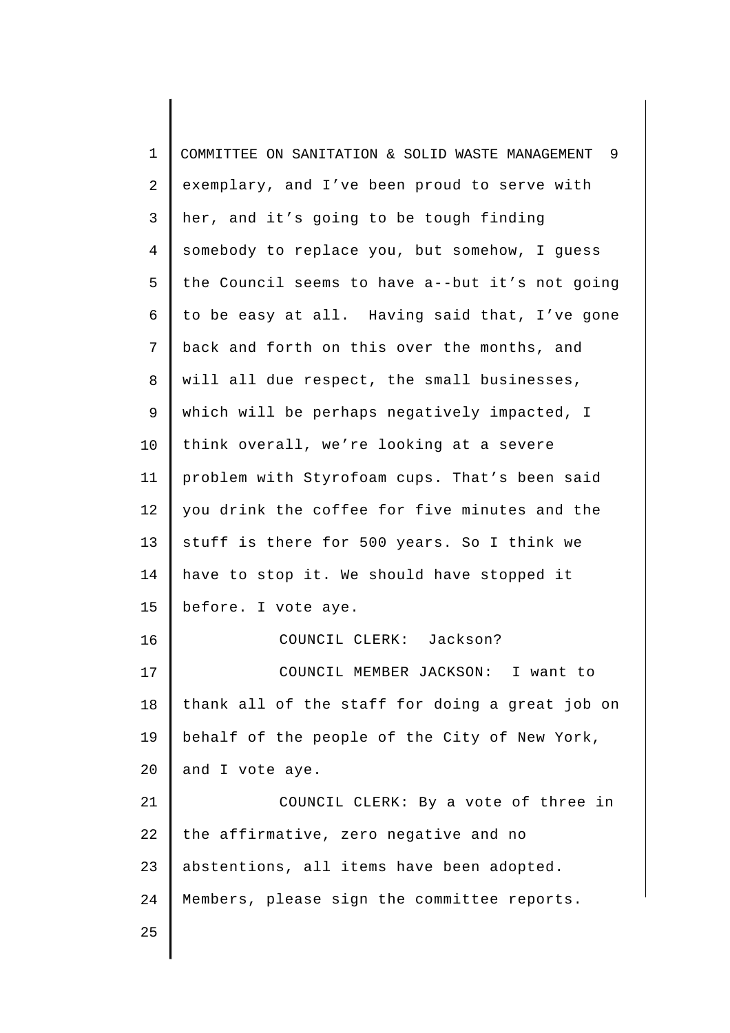| $\mathbf 1$ | COMMITTEE ON SANITATION & SOLID WASTE MANAGEMENT 9 |
|-------------|----------------------------------------------------|
| 2           | exemplary, and I've been proud to serve with       |
| 3           | her, and it's going to be tough finding            |
| 4           | somebody to replace you, but somehow, I guess      |
| 5           | the Council seems to have a--but it's not going    |
| 6           | to be easy at all. Having said that, I've gone     |
| 7           | back and forth on this over the months, and        |
| 8           | will all due respect, the small businesses,        |
| $\mathsf 9$ | which will be perhaps negatively impacted, I       |
| 10          | think overall, we're looking at a severe           |
| 11          | problem with Styrofoam cups. That's been said      |
| 12          | you drink the coffee for five minutes and the      |
| 13          | stuff is there for 500 years. So I think we        |
| 14          | have to stop it. We should have stopped it         |
| 15          | before. I vote aye.                                |
| 16          | COUNCIL CLERK: Jackson?                            |
| 17          | COUNCIL MEMBER JACKSON: I want to                  |
| 18          | thank all of the staff for doing a great job on    |
| 19          | behalf of the people of the City of New York,      |
| 20          | and I vote aye.                                    |
| 21          | COUNCIL CLERK: By a vote of three in               |
| 22          | the affirmative, zero negative and no              |
| 23          | abstentions, all items have been adopted.          |
| 24          | Members, please sign the committee reports.        |
| 25          |                                                    |
|             |                                                    |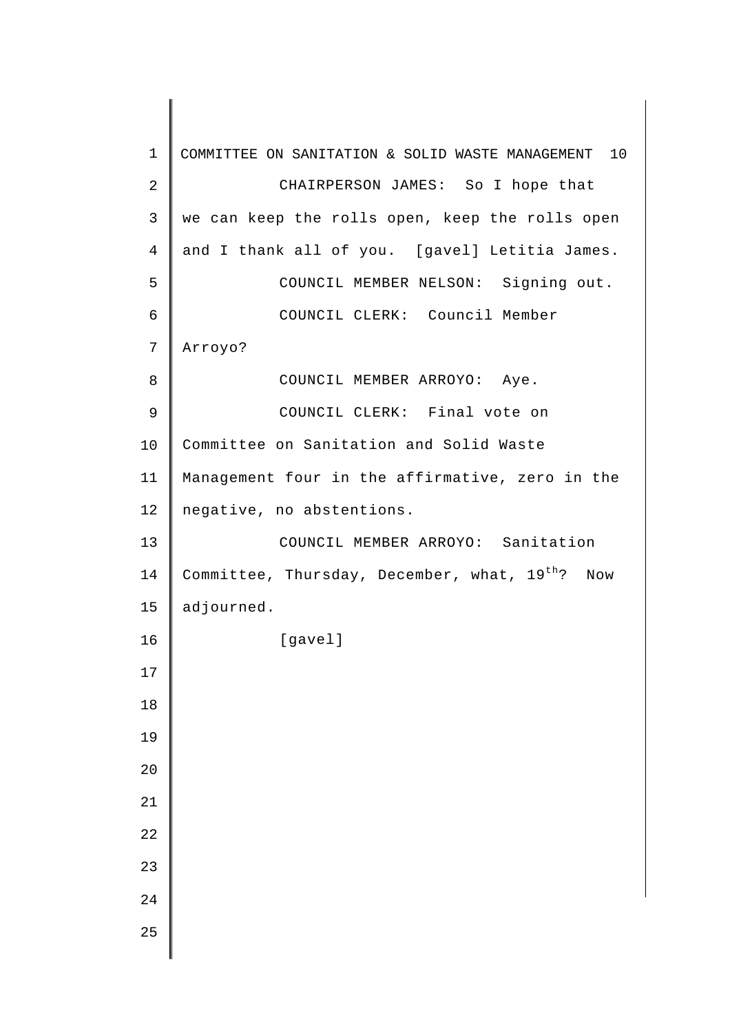| $\mathbf{1}$   | 10<br>COMMITTEE ON SANITATION & SOLID WASTE MANAGEMENT         |
|----------------|----------------------------------------------------------------|
| $\sqrt{2}$     | CHAIRPERSON JAMES: So I hope that                              |
| $\mathsf{3}$   | we can keep the rolls open, keep the rolls open                |
| $\overline{4}$ | and I thank all of you. [gavel] Letitia James.                 |
| 5              | COUNCIL MEMBER NELSON: Signing out.                            |
| $\epsilon$     | COUNCIL CLERK: Council Member                                  |
| 7              | Arroyo?                                                        |
| 8              | COUNCIL MEMBER ARROYO: Aye.                                    |
| 9              | COUNCIL CLERK: Final vote on                                   |
| 10             | Committee on Sanitation and Solid Waste                        |
| 11             | Management four in the affirmative, zero in the                |
| 12             | negative, no abstentions.                                      |
| 13             | COUNCIL MEMBER ARROYO: Sanitation                              |
| 14             | Committee, Thursday, December, what, 19 <sup>th</sup> ?<br>Now |
| 15             | adjourned.                                                     |
| 16             | [gavel]                                                        |
| 17             |                                                                |
| 18             |                                                                |
| 19             |                                                                |
| 20             |                                                                |
| 21             |                                                                |
| 22             |                                                                |
| 23             |                                                                |
| 24             |                                                                |
| 25             |                                                                |
|                |                                                                |